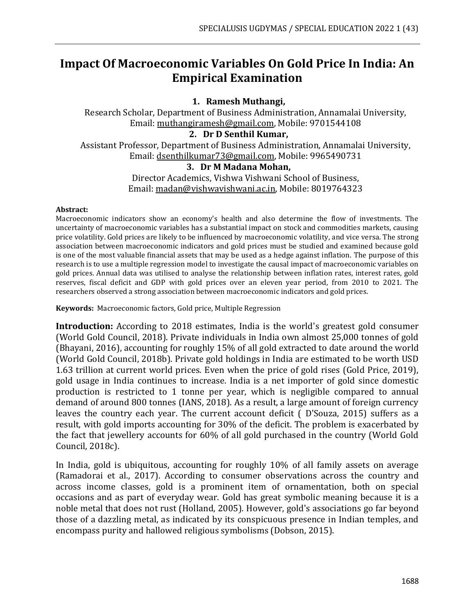# **Impact Of Macroeconomic Variables On Gold Price In India: An Empirical Examination**

# **1. Ramesh Muthangi,**

Research Scholar, Department of Business Administration, Annamalai University, Email: [muthangiramesh@gmail.com,](mailto:muthangiramesh@gmail.com) Mobile: 9701544108

## **2. Dr D Senthil Kumar,**

Assistant Professor, Department of Business Administration, Annamalai University, Email: [dsenthilkumar73@gmail.com,](mailto:dsenthilkumar73@gmail.com) Mobile: 9965490731

### **3. Dr M Madana Mohan,**

Director Academics, Vishwa Vishwani School of Business, Email[: madan@vishwavishwani.ac.in,](mailto:madan@vishwavishwani.ac.in) Mobile: 8019764323

#### **Abstract:**

Macroeconomic indicators show an economy's health and also determine the flow of investments. The uncertainty of macroeconomic variables has a substantial impact on stock and commodities markets, causing price volatility. Gold prices are likely to be influenced by macroeconomic volatility, and vice versa. The strong association between macroeconomic indicators and gold prices must be studied and examined because gold is one of the most valuable financial assets that may be used as a hedge against inflation. The purpose of this research is to use a multiple regression model to investigate the causal impact of macroeconomic variables on gold prices. Annual data was utilised to analyse the relationship between inflation rates, interest rates, gold reserves, fiscal deficit and GDP with gold prices over an eleven year period, from 2010 to 2021. The researchers observed a strong association between macroeconomic indicators and gold prices.

**Keywords:** Macroeconomic factors, Gold price, Multiple Regression

**Introduction:** According to 2018 estimates, India is the world's greatest gold consumer (World Gold Council, 2018). Private individuals in India own almost 25,000 tonnes of gold (Bhayani, 2016), accounting for roughly 15% of all gold extracted to date around the world (World Gold Council, 2018b). Private gold holdings in India are estimated to be worth USD 1.63 trillion at current world prices. Even when the price of gold rises (Gold Price, 2019), gold usage in India continues to increase. India is a net importer of gold since domestic production is restricted to 1 tonne per year, which is negligible compared to annual demand of around 800 tonnes (IANS, 2018). As a result, a large amount of foreign currency leaves the country each year. The current account deficit ( D'Souza, 2015) suffers as a result, with gold imports accounting for 30% of the deficit. The problem is exacerbated by the fact that jewellery accounts for 60% of all gold purchased in the country (World Gold Council, 2018c).

In India, gold is ubiquitous, accounting for roughly 10% of all family assets on average (Ramadorai et al., 2017). According to consumer observations across the country and across income classes, gold is a prominent item of ornamentation, both on special occasions and as part of everyday wear. Gold has great symbolic meaning because it is a noble metal that does not rust (Holland, 2005). However, gold's associations go far beyond those of a dazzling metal, as indicated by its conspicuous presence in Indian temples, and encompass purity and hallowed religious symbolisms (Dobson, 2015).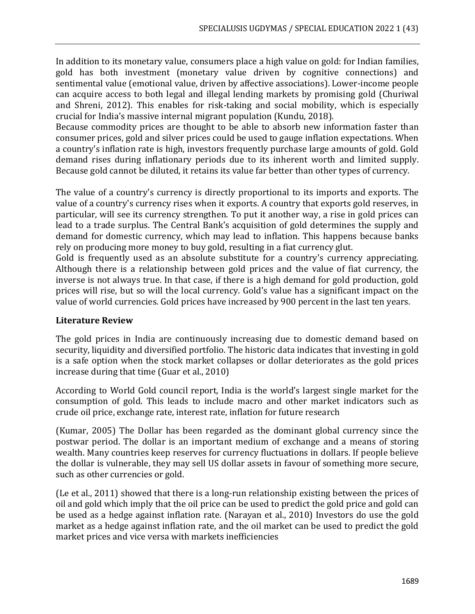In addition to its monetary value, consumers place a high value on gold: for Indian families, gold has both investment (monetary value driven by cognitive connections) and sentimental value (emotional value, driven by affective associations). Lower-income people can acquire access to both legal and illegal lending markets by promising gold (Churiwal and Shreni, 2012). This enables for risk-taking and social mobility, which is especially crucial for India's massive internal migrant population (Kundu, 2018).

Because commodity prices are thought to be able to absorb new information faster than consumer prices, gold and silver prices could be used to gauge inflation expectations. When a country's inflation rate is high, investors frequently purchase large amounts of gold. Gold demand rises during inflationary periods due to its inherent worth and limited supply. Because gold cannot be diluted, it retains its value far better than other types of currency.

The value of a country's currency is directly proportional to its imports and exports. The value of a country's currency rises when it exports. A country that exports gold reserves, in particular, will see its currency strengthen. To put it another way, a rise in gold prices can lead to a trade surplus. The Central Bank's acquisition of gold determines the supply and demand for domestic currency, which may lead to inflation. This happens because banks rely on producing more money to buy gold, resulting in a fiat currency glut.

Gold is frequently used as an absolute substitute for a country's currency appreciating. Although there is a relationship between gold prices and the value of fiat currency, the inverse is not always true. In that case, if there is a high demand for gold production, gold prices will rise, but so will the local currency. Gold's value has a significant impact on the value of world currencies. Gold prices have increased by 900 percent in the last ten years.

# **Literature Review**

The gold prices in India are continuously increasing due to domestic demand based on security, liquidity and diversified portfolio. The historic data indicates that investing in gold is a safe option when the stock market collapses or dollar deteriorates as the gold prices increase during that time (Guar et al., 2010)

According to World Gold council report, India is the world's largest single market for the consumption of gold. This leads to include macro and other market indicators such as crude oil price, exchange rate, interest rate, inflation for future research

(Kumar, 2005) The Dollar has been regarded as the dominant global currency since the postwar period. The dollar is an important medium of exchange and a means of storing wealth. Many countries keep reserves for currency fluctuations in dollars. If people believe the dollar is vulnerable, they may sell US dollar assets in favour of something more secure, such as other currencies or gold.

(Le et al., 2011) showed that there is a long-run relationship existing between the prices of oil and gold which imply that the oil price can be used to predict the gold price and gold can be used as a hedge against inflation rate. (Narayan et al., 2010) Investors do use the gold market as a hedge against inflation rate, and the oil market can be used to predict the gold market prices and vice versa with markets inefficiencies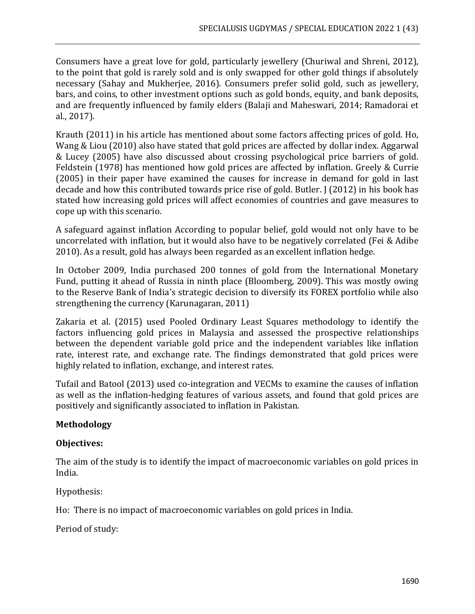Consumers have a great love for gold, particularly jewellery (Churiwal and Shreni, 2012), to the point that gold is rarely sold and is only swapped for other gold things if absolutely necessary (Sahay and Mukherjee, 2016). Consumers prefer solid gold, such as jewellery, bars, and coins, to other investment options such as gold bonds, equity, and bank deposits, and are frequently influenced by family elders (Balaji and Maheswari, 2014; Ramadorai et al., 2017).

Krauth (2011) in his article has mentioned about some factors affecting prices of gold. Ho, Wang & Liou (2010) also have stated that gold prices are affected by dollar index. Aggarwal & Lucey (2005) have also discussed about crossing psychological price barriers of gold. Feldstein (1978) has mentioned how gold prices are affected by inflation. Greely & Currie (2005) in their paper have examined the causes for increase in demand for gold in last decade and how this contributed towards price rise of gold. Butler. J (2012) in his book has stated how increasing gold prices will affect economies of countries and gave measures to cope up with this scenario.

A safeguard against inflation According to popular belief, gold would not only have to be uncorrelated with inflation, but it would also have to be negatively correlated (Fei & Adibe 2010). As a result, gold has always been regarded as an excellent inflation hedge.

In October 2009, India purchased 200 tonnes of gold from the International Monetary Fund, putting it ahead of Russia in ninth place (Bloomberg, 2009). This was mostly owing to the Reserve Bank of India's strategic decision to diversify its FOREX portfolio while also strengthening the currency (Karunagaran, 2011)

Zakaria et al. (2015) used Pooled Ordinary Least Squares methodology to identify the factors influencing gold prices in Malaysia and assessed the prospective relationships between the dependent variable gold price and the independent variables like inflation rate, interest rate, and exchange rate. The findings demonstrated that gold prices were highly related to inflation, exchange, and interest rates.

Tufail and Batool (2013) used co-integration and VECMs to examine the causes of inflation as well as the inflation-hedging features of various assets, and found that gold prices are positively and significantly associated to inflation in Pakistan.

# **Methodology**

# **Objectives:**

The aim of the study is to identify the impact of macroeconomic variables on gold prices in India.

Hypothesis:

Ho: There is no impact of macroeconomic variables on gold prices in India.

Period of study: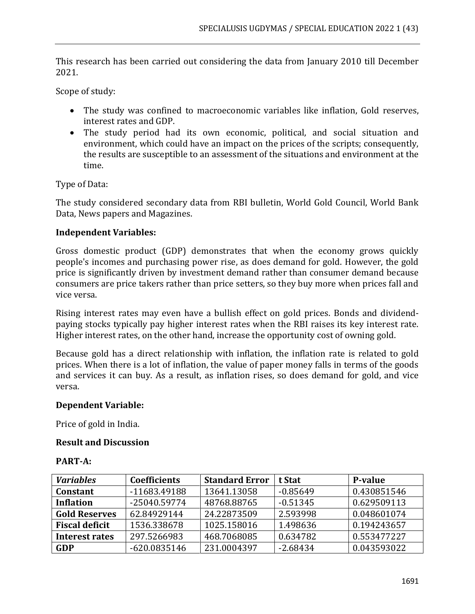This research has been carried out considering the data from January 2010 till December 2021.

Scope of study:

- The study was confined to macroeconomic variables like inflation, Gold reserves, interest rates and GDP.
- The study period had its own economic, political, and social situation and environment, which could have an impact on the prices of the scripts; consequently, the results are susceptible to an assessment of the situations and environment at the time.

Type of Data:

The study considered secondary data from RBI bulletin, World Gold Council, World Bank Data, News papers and Magazines.

# **Independent Variables:**

Gross domestic product (GDP) demonstrates that when the economy grows quickly people's incomes and purchasing power rise, as does demand for gold. However, the gold price is significantly driven by investment demand rather than consumer demand because consumers are price takers rather than price setters, so they buy more when prices fall and vice versa.

Rising interest rates may even have a bullish effect on gold prices. Bonds and dividendpaying stocks typically pay higher interest rates when the RBI raises its key interest rate. Higher interest rates, on the other hand, increase the opportunity cost of owning gold.

Because gold has a direct relationship with inflation, the inflation rate is related to gold prices. When there is a lot of inflation, the value of paper money falls in terms of the goods and services it can buy. As a result, as inflation rises, so does demand for gold, and vice versa.

# **Dependent Variable:**

Price of gold in India.

# **Result and Discussion**

# **PART-A:**

| <b>Variables</b><br><b>Coefficients</b> |              | <b>Standard Error</b> | t Stat     | <b>P-value</b> |
|-----------------------------------------|--------------|-----------------------|------------|----------------|
| <b>Constant</b>                         | -11683.49188 | 13641.13058           | $-0.85649$ | 0.430851546    |
| <b>Inflation</b>                        | -25040.59774 | 48768.88765           | $-0.51345$ | 0.629509113    |
| <b>Gold Reserves</b>                    | 62.84929144  | 24.22873509           | 2.593998   | 0.048601074    |
| <b>Fiscal deficit</b>                   | 1536.338678  | 1025.158016           | 1.498636   | 0.194243657    |
| Interest rates                          | 297.5266983  | 468.7068085           | 0.634782   | 0.553477227    |
| <b>GDP</b>                              | -620.0835146 | 231.0004397           | $-2.68434$ | 0.043593022    |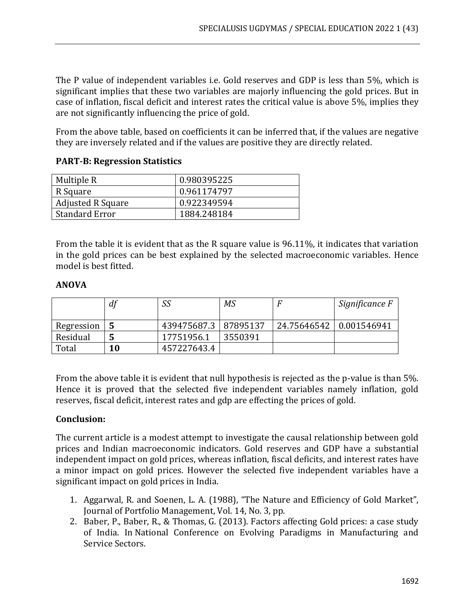The P value of independent variables i.e. Gold reserves and GDP is less than 5%, which is significant implies that these two variables are majorly influencing the gold prices. But in case of inflation, fiscal deficit and interest rates the critical value is above 5%, implies they are not significantly influencing the price of gold.

From the above table, based on coefficients it can be inferred that, if the values are negative they are inversely related and if the values are positive they are directly related.

# **PART-B: Regression Statistics**

| Multiple R               | 0.980395225 |  |
|--------------------------|-------------|--|
| R Square                 | 0.961174797 |  |
| <b>Adjusted R Square</b> | 0.922349594 |  |
| <b>Standard Error</b>    | 1884.248184 |  |

From the table it is evident that as the R square value is 96.11%, it indicates that variation in the gold prices can be best explained by the selected macroeconomic variables. Hence model is best fitted.

# **ANOVA**

|            | df | SS                     | МS      |                           | Significance F |
|------------|----|------------------------|---------|---------------------------|----------------|
| Regression |    | 439475687.3   87895137 |         | 24.75646542   0.001546941 |                |
| Residual   |    | 17751956.1             | 3550391 |                           |                |
| Total      | 10 | 457227643.4            |         |                           |                |

From the above table it is evident that null hypothesis is rejected as the p-value is than 5%. Hence it is proved that the selected five independent variables namely inflation, gold reserves, fiscal deficit, interest rates and gdp are effecting the prices of gold.

# **Conclusion:**

The current article is a modest attempt to investigate the causal relationship between gold prices and Indian macroeconomic indicators. Gold reserves and GDP have a substantial independent impact on gold prices, whereas inflation, fiscal deficits, and interest rates have a minor impact on gold prices. However the selected five independent variables have a significant impact on gold prices in India.

- 1. Aggarwal, R. and Soenen, L. A. (1988), "The Nature and Efficiency of Gold Market", Journal of Portfolio Management, Vol. 14, No. 3, pp.
- 2. Baber, P., Baber, R., & Thomas, G. (2013). Factors affecting Gold prices: a case study of India. In National Conference on Evolving Paradigms in Manufacturing and Service Sectors.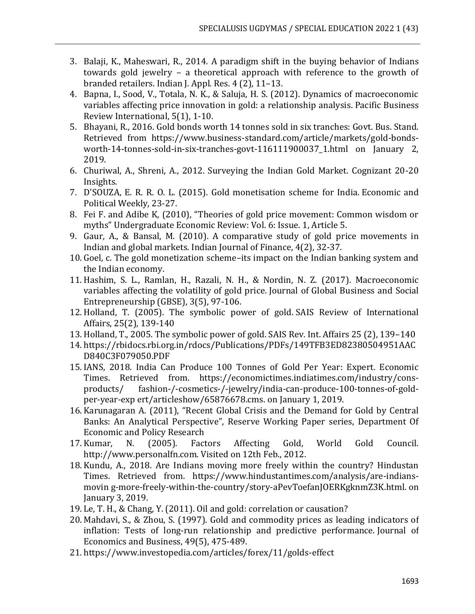- 3. Balaji, K., Maheswari, R., 2014. A paradigm shift in the buying behavior of Indians towards gold jewelry – a theoretical approach with reference to the growth of branded retailers. Indian J. Appl. Res. 4 (2), 11–13.
- 4. Bapna, I., Sood, V., Totala, N. K., & Saluja, H. S. (2012). Dynamics of macroeconomic variables affecting price innovation in gold: a relationship analysis. Pacific Business Review International, 5(1), 1-10.
- 5. Bhayani, R., 2016. Gold bonds worth 14 tonnes sold in six tranches: Govt. Bus. Stand. Retrieved from https://www.business-standard.com/article/markets/gold-bondsworth-14-tonnes-sold-in-six-tranches-govt-116111900037\_1.html on January 2, 2019.
- 6. Churiwal, A., Shreni, A., 2012. Surveying the Indian Gold Market. Cognizant 20-20 Insights.
- 7. D'SOUZA, E. R. R. O. L. (2015). Gold monetisation scheme for India. Economic and Political Weekly, 23-27.
- 8. Fei F. and Adibe K, (2010), "Theories of gold price movement: Common wisdom or myths" Undergraduate Economic Review: Vol. 6: Issue. 1, Article 5.
- 9. Gaur, A., & Bansal, M. (2010). A comparative study of gold price movements in Indian and global markets. Indian Journal of Finance, 4(2), 32-37.
- 10. Goel, c. The gold monetization scheme–its impact on the Indian banking system and the Indian economy.
- 11. Hashim, S. L., Ramlan, H., Razali, N. H., & Nordin, N. Z. (2017). Macroeconomic variables affecting the volatility of gold price. Journal of Global Business and Social Entrepreneurship (GBSE), 3(5), 97-106.
- 12. Holland, T. (2005). The symbolic power of gold. SAIS Review of International Affairs, 25(2), 139-140
- 13. Holland, T., 2005. The symbolic power of gold. SAIS Rev. Int. Affairs 25 (2), 139–140
- 14. https://rbidocs.rbi.org.in/rdocs/Publications/PDFs/149TFB3ED82380504951AAC D840C3F079050.PDF
- 15. IANS, 2018. India Can Produce 100 Tonnes of Gold Per Year: Expert. Economic Times. Retrieved from. https://economictimes.indiatimes.com/industry/consproducts/ fashion-/-cosmetics-/-jewelry/india-can-produce-100-tonnes-of-goldper-year-exp ert/articleshow/65876678.cms. on January 1, 2019.
- 16. Karunagaran A. (2011), "Recent Global Crisis and the Demand for Gold by Central Banks: An Analytical Perspective", Reserve Working Paper series, Department Of Economic and Policy Research
- 17. Kumar, N. (2005). Factors Affecting Gold, World Gold Council. http://www.personalfn.com. Visited on 12th Feb., 2012.
- 18. Kundu, A., 2018. Are Indians moving more freely within the country? Hindustan Times. Retrieved from. https://www.hindustantimes.com/analysis/are-indiansmovin g-more-freely-within-the-country/story-aPevToefanJOERKgknmZ3K.html. on January 3, 2019.
- 19. Le, T. H., & Chang, Y. (2011). Oil and gold: correlation or causation?
- 20. Mahdavi, S., & Zhou, S. (1997). Gold and commodity prices as leading indicators of inflation: Tests of long-run relationship and predictive performance. Journal of Economics and Business, 49(5), 475-489.
- 21. https://www.investopedia.com/articles/forex/11/golds-effect